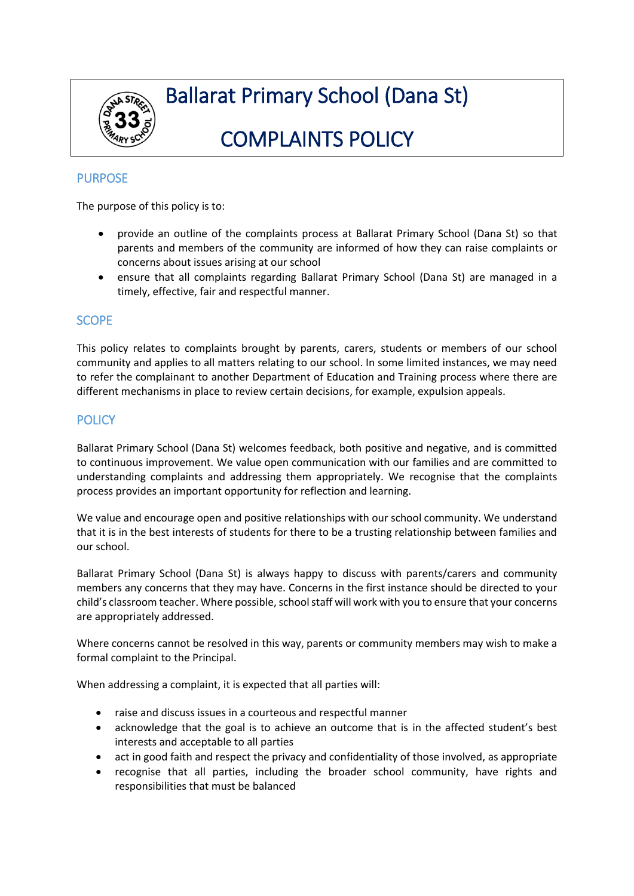

# Ballarat Primary School (Dana St)

# COMPLAINTS POLICY

## PURPOSE

The purpose of this policy is to:

- provide an outline of the complaints process at Ballarat Primary School (Dana St) so that parents and members of the community are informed of how they can raise complaints or concerns about issues arising at our school
- ensure that all complaints regarding Ballarat Primary School (Dana St) are managed in a timely, effective, fair and respectful manner.

### **SCOPE**

This policy relates to complaints brought by parents, carers, students or members of our school community and applies to all matters relating to our school. In some limited instances, we may need to refer the complainant to another Department of Education and Training process where there are different mechanisms in place to review certain decisions, for example, expulsion appeals.

## **POLICY**

Ballarat Primary School (Dana St) welcomes feedback, both positive and negative, and is committed to continuous improvement. We value open communication with our families and are committed to understanding complaints and addressing them appropriately. We recognise that the complaints process provides an important opportunity for reflection and learning.

We value and encourage open and positive relationships with our school community. We understand that it is in the best interests of students for there to be a trusting relationship between families and our school.

Ballarat Primary School (Dana St) is always happy to discuss with parents/carers and community members any concerns that they may have. Concerns in the first instance should be directed to your child's classroom teacher. Where possible, school staff will work with you to ensure that your concerns are appropriately addressed.

Where concerns cannot be resolved in this way, parents or community members may wish to make a formal complaint to the Principal.

When addressing a complaint, it is expected that all parties will:

- raise and discuss issues in a courteous and respectful manner
- acknowledge that the goal is to achieve an outcome that is in the affected student's best interests and acceptable to all parties
- act in good faith and respect the privacy and confidentiality of those involved, as appropriate
- recognise that all parties, including the broader school community, have rights and responsibilities that must be balanced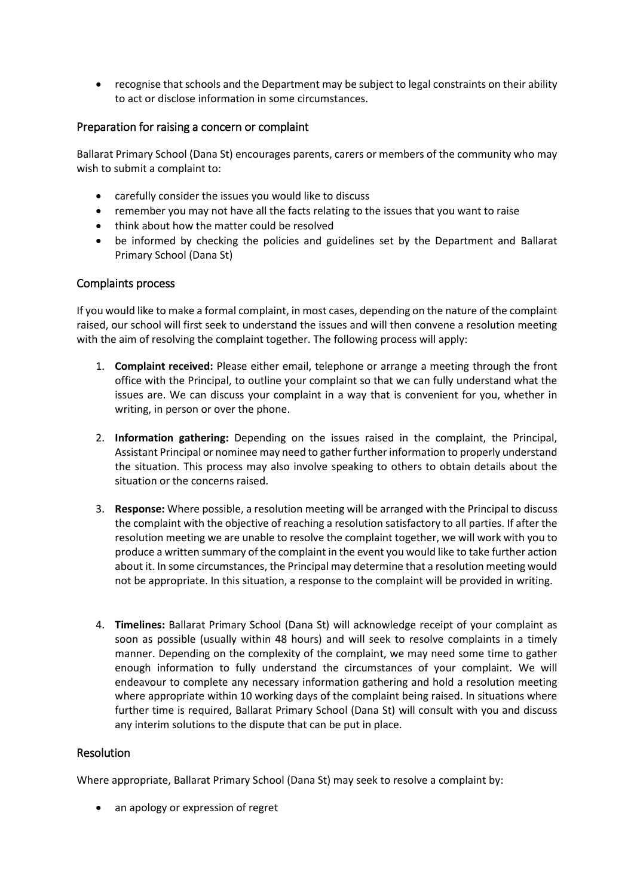recognise that schools and the Department may be subject to legal constraints on their ability to act or disclose information in some circumstances.

#### Preparation for raising a concern or complaint

Ballarat Primary School (Dana St) encourages parents, carers or members of the community who may wish to submit a complaint to:

- carefully consider the issues you would like to discuss
- remember you may not have all the facts relating to the issues that you want to raise
- think about how the matter could be resolved
- be informed by checking the policies and guidelines set by the Department and Ballarat Primary School (Dana St)

#### Complaints process

If you would like to make a formal complaint, in most cases, depending on the nature of the complaint raised, our school will first seek to understand the issues and will then convene a resolution meeting with the aim of resolving the complaint together. The following process will apply:

- 1. **Complaint received:** Please either email, telephone or arrange a meeting through the front office with the Principal, to outline your complaint so that we can fully understand what the issues are. We can discuss your complaint in a way that is convenient for you, whether in writing, in person or over the phone.
- 2. **Information gathering:** Depending on the issues raised in the complaint, the Principal, Assistant Principal or nominee may need to gather further information to properly understand the situation. This process may also involve speaking to others to obtain details about the situation or the concerns raised.
- 3. **Response:** Where possible, a resolution meeting will be arranged with the Principal to discuss the complaint with the objective of reaching a resolution satisfactory to all parties. If after the resolution meeting we are unable to resolve the complaint together, we will work with you to produce a written summary of the complaint in the event you would like to take further action about it. In some circumstances, the Principal may determine that a resolution meeting would not be appropriate. In this situation, a response to the complaint will be provided in writing.
- 4. **Timelines:** Ballarat Primary School (Dana St) will acknowledge receipt of your complaint as soon as possible (usually within 48 hours) and will seek to resolve complaints in a timely manner. Depending on the complexity of the complaint, we may need some time to gather enough information to fully understand the circumstances of your complaint. We will endeavour to complete any necessary information gathering and hold a resolution meeting where appropriate within 10 working days of the complaint being raised. In situations where further time is required, Ballarat Primary School (Dana St) will consult with you and discuss any interim solutions to the dispute that can be put in place.

#### **Resolution**

Where appropriate, Ballarat Primary School (Dana St) may seek to resolve a complaint by:

• an apology or expression of regret